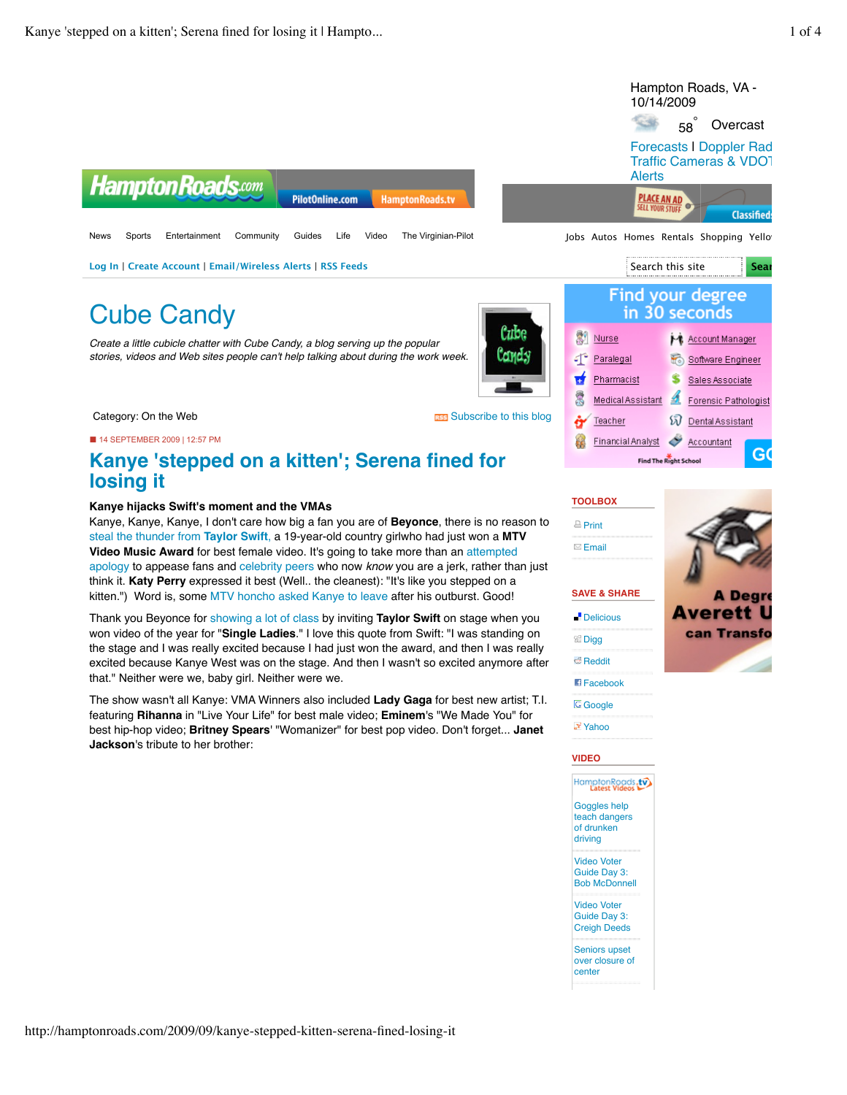| <b>Hampton Roads.com</b>                                                                                                                                                                   |                                                                                             | Hampton Roads, VA -<br>10/14/2009<br>Overcast<br>58<br><b>Forecasts I Doppler Rad</b><br>Traffic Cameras & VDO1<br>Alerts                                                                       |
|--------------------------------------------------------------------------------------------------------------------------------------------------------------------------------------------|---------------------------------------------------------------------------------------------|-------------------------------------------------------------------------------------------------------------------------------------------------------------------------------------------------|
| Sports<br>Entertainment<br>Community<br><b>News</b>                                                                                                                                        | <b>PilotOnline.com</b><br>HamptonRoads.tv<br>The Virginian-Pilot<br>Guides<br>Life<br>Video | <b>PLACE AN AD</b><br><b>SELL YOUR STILLE</b><br><b>Classified</b><br>Jobs Autos Homes Rentals Shopping Yello                                                                                   |
| Log In   Create Account   Email/Wireless Alerts   RSS Feeds                                                                                                                                | Search this site<br>Sear                                                                    |                                                                                                                                                                                                 |
| <b>Cube Candy</b><br>Create a little cubicle chatter with Cube Candy, a blog serving up the popular<br>stories, videos and Web sites people can't help talking about during the work week. | Cube<br>Condy                                                                               | Find your degree<br>in 30 seconds<br>▶ Account Manager<br>Nurse<br>Paralegal<br>Software Engineer<br>S<br>Pharmacist<br>Sales Associate<br>魔<br>Medical Assistant<br>£.<br>Forensic Pathologist |
| Category: On the Web                                                                                                                                                                       | <b>RES</b> Subscribe to this blog                                                           | ឆា<br><b>Dental Assistant</b><br>Teacher                                                                                                                                                        |
| ■ 14 SEPTEMBER 2009   12:57 PM<br>losing it                                                                                                                                                | Kanye 'stepped on a kitten'; Serena fined for                                               | ◇<br><b>Financial Analyst</b><br>Accountant<br>G(<br><b>Find The Right School</b>                                                                                                               |

#### **Kanye hijacks Swift's moment and the VMAs**

Kanye, Kanye, Kanye, I don't care how big a fan you are of **Beyonce**, there is no reason to steal the thunder from **Taylor Swift**, a 19-year-old country girlwho had just won a **MTV Video Music Award** for best female video. It's going to take more than an attempted apology to appease fans and celebrity peers who now *know* you are a jerk, rather than just think it. **Katy Perry** expressed it best (Well.. the cleanest): "It's like you stepped on a kitten.") Word is, some MTV honcho asked Kanye to leave after his outburst. Good!

Thank you Beyonce for showing a lot of class by inviting **Taylor Swift** on stage when you won video of the year for "**Single Ladies**." I love this quote from Swift: "I was standing on the stage and I was really excited because I had just won the award, and then I was really excited because Kanye West was on the stage. And then I wasn't so excited anymore after that." Neither were we, baby girl. Neither were we.

The show wasn't all Kanye: VMA Winners also included **Lady Gaga** for best new artist; T.I. featuring **Rihanna** in "Live Your Life" for best male video; **Eminem**'s "We Made You" for best hip-hop video; **Britney Spears**' "Womanizer" for best pop video. Don't forget... **Janet Jackson**'s tribute to her brother:



**Averett I** can Transfo

**SAVE & SHARE Delicious** 

**SHI Digg** 

**B** Reddit

**TOOLBOX**  $\triangle$  Print  $\boxtimes$  Email



# Yahoo



Seniors upset

over closure of center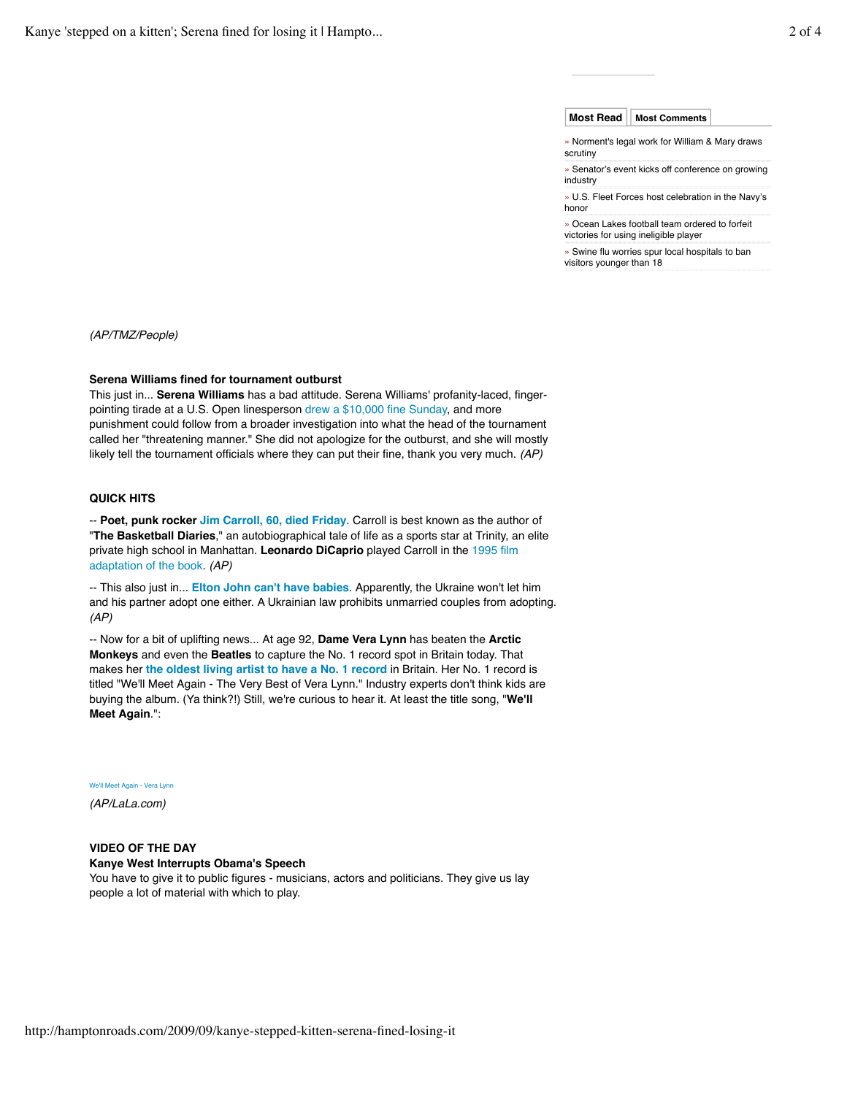#### **Most Read Most Comments**

- » Norment's legal work for William & Mary draws scrutiny
- » Senator's event kicks off conference on growing industry
- » U.S. Fleet Forces host celebration in the Navy's honor
- » Ocean Lakes football team ordered to forfeit victories for using ineligible player

» Swine flu worries spur local hospitals to ban visitors younger than 18

*(AP/TMZ/People)*

#### **Serena Williams fined for tournament outburst**

This just in... **Serena Williams** has a bad attitude. Serena Williams' profanity-laced, fingerpointing tirade at a U.S. Open linesperson drew a \$10,000 fine Sunday, and more punishment could follow from a broader investigation into what the head of the tournament called her "threatening manner." She did not apologize for the outburst, and she will mostly likely tell the tournament officials where they can put their fine, thank you very much. *(AP)*

#### **QUICK HITS**

-- **Poet, punk rocker Jim Carroll, 60, died Friday**. Carroll is best known as the author of "**The Basketball Diaries**," an autobiographical tale of life as a sports star at Trinity, an elite private high school in Manhattan. **Leonardo DiCaprio** played Carroll in the 1995 film adaptation of the book. *(AP)*

-- This also just in... **Elton John can't have babies**. Apparently, the Ukraine won't let him and his partner adopt one either. A Ukrainian law prohibits unmarried couples from adopting. *(AP)*

-- Now for a bit of uplifting news... At age 92, **Dame Vera Lynn** has beaten the **Arctic Monkeys** and even the **Beatles** to capture the No. 1 record spot in Britain today. That makes her **the oldest living artist to have a No. 1 record** in Britain. Her No. 1 record is titled "We'll Meet Again - The Very Best of Vera Lynn." Industry experts don't think kids are buying the album. (Ya think?!) Still, we're curious to hear it. At least the title song, "**We'll Meet Again**.":

#### We'll Meet Again - Vera Lynn

*(AP/LaLa.com)*

## **VIDEO OF THE DAY Kanye West Interrupts Obama's Speech**

You have to give it to public figures - musicians, actors and politicians. They give us lay people a lot of material with which to play.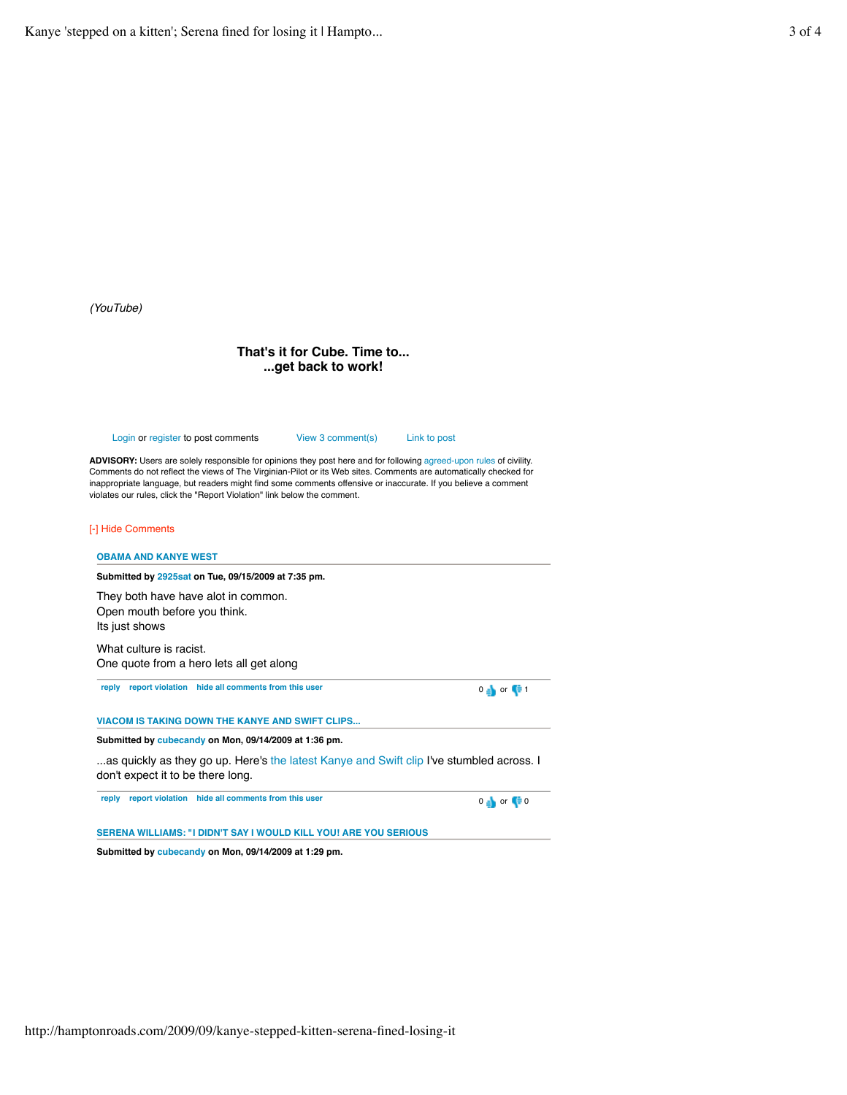*(YouTube)*

### **That's it for Cube. Time to... ...get back to work!**

Login or register to post comments View 3 comment(s) Link to post

**ADVISORY:** Users are solely responsible for opinions they post here and for following agreed-upon rules of civility. Comments do not reflect the views of The Virginian-Pilot or its Web sites. Comments are automatically checked for inappropriate language, but readers might find some comments offensive or inaccurate. If you believe a comment violates our rules, click the "Report Violation" link below the comment.

#### [-] Hide Comments

# **reply report violation hide all comments from this user** 0 **or**  $\begin{bmatrix} 0 & 1 \end{bmatrix}$  or  $\begin{bmatrix} 0 & 1 \end{bmatrix}$ **reply report violation hide all comments from this user** 0 or 0 **OBAMA AND KANYE WEST Submitted by 2925sat on Tue, 09/15/2009 at 7:35 pm.** They both have have alot in common. Open mouth before you think. Its just shows What culture is racist. One quote from a hero lets all get along **VIACOM IS TAKING DOWN THE KANYE AND SWIFT CLIPS... Submitted by cubecandy on Mon, 09/14/2009 at 1:36 pm.** ...as quickly as they go up. Here's the latest Kanye and Swift clip I've stumbled across. I don't expect it to be there long. **SERENA WILLIAMS: "I DIDN'T SAY I WOULD KILL YOU! ARE YOU SERIOUS**

**Submitted by cubecandy on Mon, 09/14/2009 at 1:29 pm.**